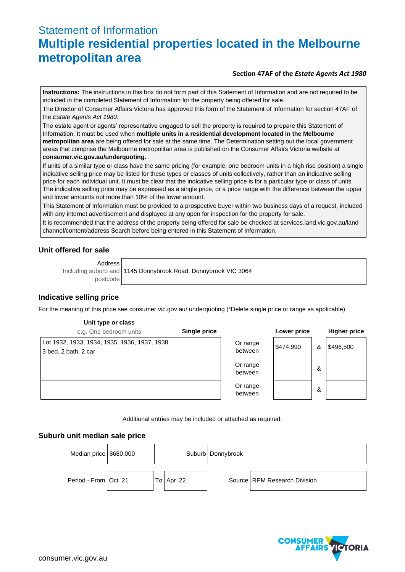# Statement of Information **Multiple residential properties located in the Melbourne metropolitan area**

## **Section 47AF of the** *Estate Agents Act 1980*

**Instructions:** The instructions in this box do not form part of this Statement of Information and are not required to be included in the completed Statement of Information for the property being offered for sale.

The Director of Consumer Affairs Victoria has approved this form of the Statement of Information for section 47AF of the *Estate Agents Act 1980*.

The estate agent or agents' representative engaged to sell the property is required to prepare this Statement of Information. It must be used when **multiple units in a residential development located in the Melbourne metropolitan area** are being offered for sale at the same time. The Determination setting out the local government areas that comprise the Melbourne metropolitan area is published on the Consumer Affairs Victoria website at **consumer.vic.gov.au/underquoting.**

If units of a similar type or class have the same pricing (for example, one bedroom units in a high rise position) a single indicative selling price may be listed for these types or classes of units collectively, rather than an indicative selling price for each individual unit. It must be clear that the indicative selling price is for a particular type or class of units. The indicative selling price may be expressed as a single price, or a price range with the difference between the upper and lower amounts not more than 10% of the lower amount.

This Statement of Information must be provided to a prospective buyer within two business days of a request, included with any internet advertisement and displayed at any open for inspection for the property for sale.

It is recommended that the address of the property being offered for sale be checked at services.land.vic.gov.au/land channel/content/address Search before being entered in this Statement of Information.

## **Unit offered for sale**

Address

Including suburb and postcode 1145 Donnybrook Road, Donnybrook VIC 3064

## **Indicative selling price**

For the meaning of this price see consumer.vic.gov.au/ underquoting (\*Delete single price or range as applicable)

#### **Unit type or class**

| e.g. One bedroom units                                               | Single price |                     | Lower price |   | <b>Higher price</b> |
|----------------------------------------------------------------------|--------------|---------------------|-------------|---|---------------------|
| Lot 1932, 1933, 1934, 1935, 1936, 1937, 1938<br>3 bed, 2 bath, 2 car |              | Or range<br>between | \$474,990   | & | \$496,500           |
|                                                                      |              | Or range<br>between |             | & |                     |
|                                                                      |              | Or range<br>between |             | & |                     |

Additional entries may be included or attached as required.

#### **Suburb unit median sale price**